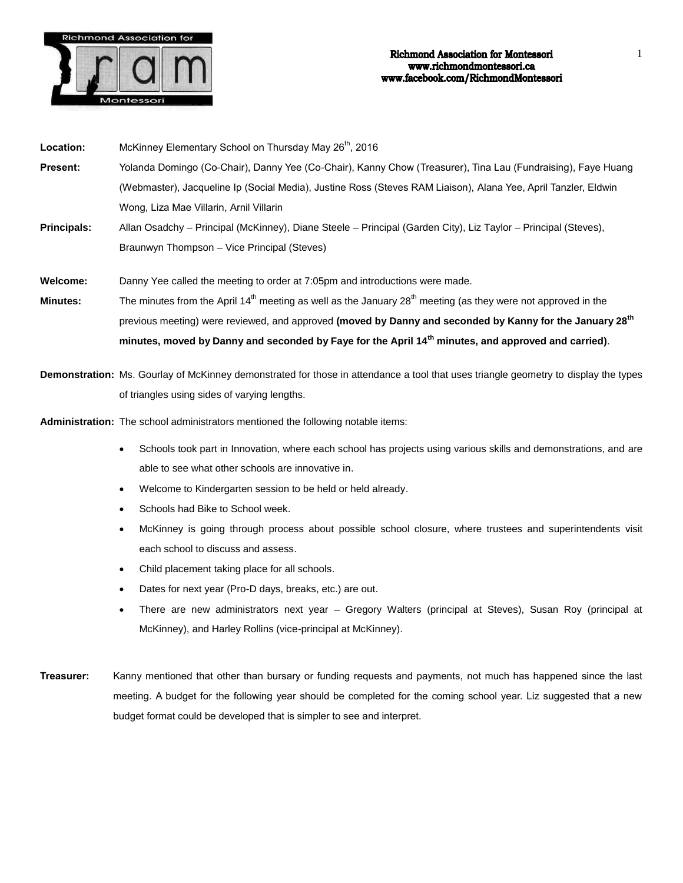

- **Location:** McKinney Elementary School on Thursday May 26<sup>th</sup>, 2016 **Present:** Yolanda Domingo (Co-Chair), Danny Yee (Co-Chair), Kanny Chow (Treasurer), Tina Lau (Fundraising), Faye Huang (Webmaster), Jacqueline Ip (Social Media), Justine Ross (Steves RAM Liaison), Alana Yee, April Tanzler, Eldwin Wong, Liza Mae Villarin, Arnil Villarin
- **Principals:** Allan Osadchy Principal (McKinney), Diane Steele Principal (Garden City), Liz Taylor Principal (Steves), Braunwyn Thompson – Vice Principal (Steves)

**Welcome:** Danny Yee called the meeting to order at 7:05pm and introductions were made.

- **Minutes:** The minutes from the April 14<sup>th</sup> meeting as well as the January 28<sup>th</sup> meeting (as they were not approved in the previous meeting) were reviewed, and approved **(moved by Danny and seconded by Kanny for the January 28th minutes, moved by Danny and seconded by Faye for the April 14th minutes, and approved and carried)**.
- **Demonstration:** Ms. Gourlay of McKinney demonstrated for those in attendance a tool that uses triangle geometry to display the types of triangles using sides of varying lengths.
- **Administration:** The school administrators mentioned the following notable items:
	- Schools took part in Innovation, where each school has projects using various skills and demonstrations, and are able to see what other schools are innovative in.
	- Welcome to Kindergarten session to be held or held already.
	- Schools had Bike to School week.
	- McKinney is going through process about possible school closure, where trustees and superintendents visit each school to discuss and assess.
	- Child placement taking place for all schools.
	- Dates for next year (Pro-D days, breaks, etc.) are out.
	- There are new administrators next year Gregory Walters (principal at Steves), Susan Roy (principal at McKinney), and Harley Rollins (vice-principal at McKinney).
- **Treasurer:** Kanny mentioned that other than bursary or funding requests and payments, not much has happened since the last meeting. A budget for the following year should be completed for the coming school year. Liz suggested that a new budget format could be developed that is simpler to see and interpret.